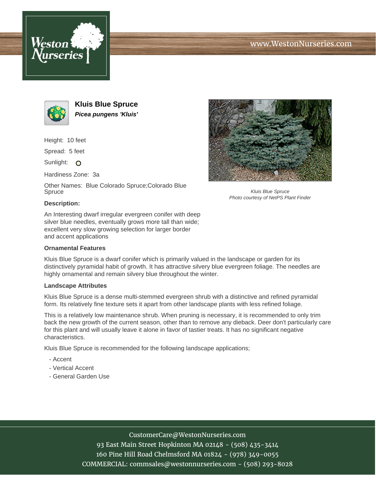





**Kluis Blue Spruce Picea pungens 'Kluis'**

Height: 10 feet

Spread: 5 feet

Sunlight: O

Hardiness Zone: 3a

Other Names: Blue Colorado Spruce;Colorado Blue Spruce



Kluis Blue Spruce Photo courtesy of NetPS Plant Finder

### **Description:**

An Interesting dwarf irregular evergreen conifer with deep silver blue needles, eventually grows more tall than wide; excellent very slow growing selection for larger border and accent applications

### **Ornamental Features**

Kluis Blue Spruce is a dwarf conifer which is primarily valued in the landscape or garden for its distinctively pyramidal habit of growth. It has attractive silvery blue evergreen foliage. The needles are highly ornamental and remain silvery blue throughout the winter.

### **Landscape Attributes**

Kluis Blue Spruce is a dense multi-stemmed evergreen shrub with a distinctive and refined pyramidal form. Its relatively fine texture sets it apart from other landscape plants with less refined foliage.

This is a relatively low maintenance shrub. When pruning is necessary, it is recommended to only trim back the new growth of the current season, other than to remove any dieback. Deer don't particularly care for this plant and will usually leave it alone in favor of tastier treats. It has no significant negative characteristics.

Kluis Blue Spruce is recommended for the following landscape applications;

- Accent
- Vertical Accent
- General Garden Use

# CustomerCare@WestonNurseries.com

93 East Main Street Hopkinton MA 02148 - (508) 435-3414 160 Pine Hill Road Chelmsford MA 01824 - (978) 349-0055 COMMERCIAL: commsales@westonnurseries.com - (508) 293-8028